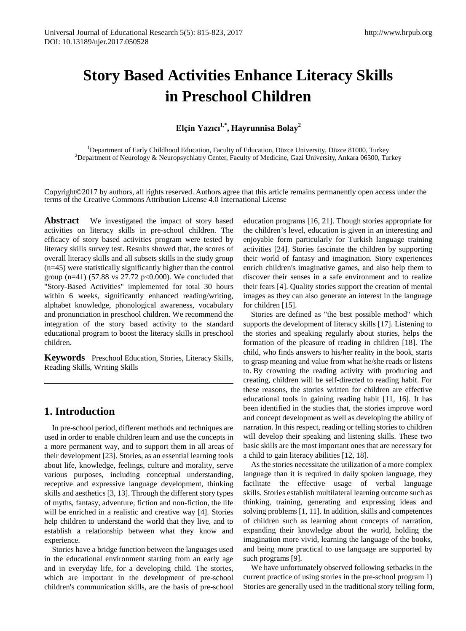# **Story Based Activities Enhance Literacy Skills in Preschool Children**

**Elçin Yazıcı1,\*, Hayrunnisa Bolay2** 

<sup>1</sup>Department of Early Childhood Education, Faculty of Education, Düzce University, Düzce 81000, Turkey <sup>2</sup>Department of Naurology & Nauropsychiatry Center, Faculty of Medicine, Gazi University, Ankara 06500, Tu <sup>2</sup>Department of Neurology & Neuropsychiatry Center, Faculty of Medicine, Gazi University, Ankara 06500, Turkey

Copyright©2017 by authors, all rights reserved. Authors agree that this article remains permanently open access under the terms of the Creative Commons Attribution License 4.0 International License

Abstract We investigated the impact of story based activities on literacy skills in pre-school children. The efficacy of story based activities program were tested by literacy skills survey test. Results showed that, the scores of overall literacy skills and all subsets skills in the study group (n=45) were statistically significantly higher than the control group (n=41) (57.88 vs 27.72 p<0.000). We concluded that "Story-Based Activities" implemented for total 30 hours within 6 weeks, significantly enhanced reading/writing, alphabet knowledge, phonological awareness, vocabulary and pronunciation in preschool children. We recommend the integration of the story based activity to the standard educational program to boost the literacy skills in preschool children.

**Keywords** Preschool Education, Stories, Literacy Skills, Reading Skills, Writing Skills

# **1. Introduction**

In pre-school period, different methods and techniques are used in order to enable children learn and use the concepts in a more permanent way, and to support them in all areas of their development [23]. Stories, as an essential learning tools about life, knowledge, feelings, culture and morality, serve various purposes, including conceptual understanding, receptive and expressive language development, thinking skills and aesthetics [3, 13]. Through the different story types of myths, fantasy, adventure, fiction and non-fiction, the life will be enriched in a realistic and creative way [4]. Stories help children to understand the world that they live, and to establish a relationship between what they know and experience.

Stories have a bridge function between the languages used in the educational environment starting from an early age and in everyday life, for a developing child. The stories, which are important in the development of pre-school children's communication skills, are the basis of pre-school

education programs [16, 21]. Though stories appropriate for the children's level, education is given in an interesting and enjoyable form particularly for Turkish language training activities [24]. Stories fascinate the children by supporting their world of fantasy and imagination. Story experiences enrich children's imaginative games, and also help them to discover their senses in a safe environment and to realize their fears [4]. Quality stories support the creation of mental images as they can also generate an interest in the language for children [15].

Stories are defined as "the best possible method" which supports the development of literacy skills [17]. Listening to the stories and speaking regularly about stories, helps the formation of the pleasure of reading in children [18]. The child, who finds answers to his/her reality in the book, starts to grasp meaning and value from what he/she reads or listens to. By crowning the reading activity with producing and creating, children will be self-directed to reading habit. For these reasons, the stories written for children are effective educational tools in gaining reading habit [11, 16]. It has been identified in the studies that, the stories improve word and concept development as well as developing the ability of narration. In this respect, reading or telling stories to children will develop their speaking and listening skills. These two basic skills are the most important ones that are necessary for a child to gain literacy abilities [12, 18].

As the stories necessitate the utilization of a more complex language than it is required in daily spoken language, they facilitate the effective usage of verbal language skills. Stories establish multilateral learning outcome such as thinking, training, generating and expressing ideas and solving problems [1, 11]. In addition, skills and competences of children such as learning about concepts of narration, expanding their knowledge about the world, holding the imagination more vivid, learning the language of the books, and being more practical to use language are supported by such programs [9].

We have unfortunately observed following setbacks in the current practice of using stories in the pre-school program 1) Stories are generally used in the traditional story telling form,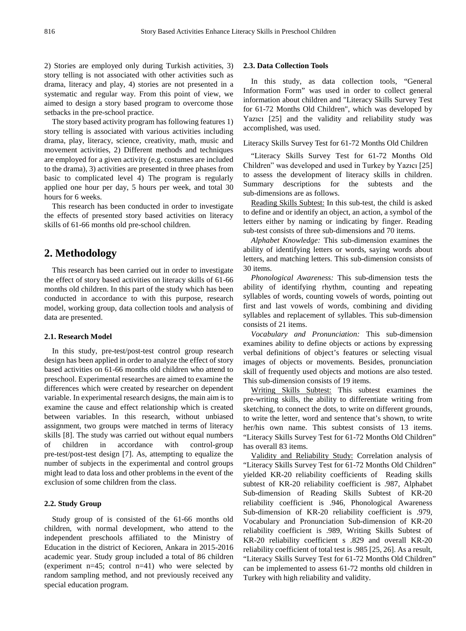2) Stories are employed only during Turkish activities, 3) story telling is not associated with other activities such as drama, literacy and play, 4) stories are not presented in a systematic and regular way. From this point of view, we aimed to design a story based program to overcome those setbacks in the pre-school practice.

The story based activity program has following features 1) story telling is associated with various activities including drama, play, literacy, science, creativity, math, music and movement activities, 2) Different methods and techniques are employed for a given activity (e.g. costumes are included to the drama), 3) activities are presented in three phases from basic to complicated level 4) The program is regularly applied one hour per day, 5 hours per week, and total 30 hours for 6 weeks.

This research has been conducted in order to investigate the effects of presented story based activities on literacy skills of 61-66 months old pre-school children.

# **2. Methodology**

This research has been carried out in order to investigate the effect of story based activities on literacy skills of 61-66 months old children. In this part of the study which has been conducted in accordance to with this purpose, research model, working group, data collection tools and analysis of data are presented.

#### **2.1. Research Model**

In this study, pre-test/post-test control group research design has been applied in order to analyze the effect of story based activities on 61-66 months old children who attend to preschool. Experimental researches are aimed to examine the differences which were created by researcher on dependent variable. In experimental research designs, the main aim is to examine the cause and effect relationship which is created between variables. In this research, without unbiased assignment, two groups were matched in terms of literacy skills [8]. The study was carried out without equal numbers of children in accordance with control-group pre-test/post-test design [7]. As, attempting to equalize the number of subjects in the experimental and control groups might lead to data loss and other problems in the event of the exclusion of some children from the class.

#### **2.2. Study Group**

Study group of is consisted of the 61-66 months old children, with normal development, who attend to the independent preschools affiliated to the Ministry of Education in the district of Kecioren, Ankara in 2015-2016 academic year. Study group included a total of 86 children (experiment  $n=45$ ; control  $n=41$ ) who were selected by random sampling method, and not previously received any special education program.

#### **2.3. Data Collection Tools**

In this study, as data collection tools, "General Information Form" was used in order to collect general information about children and "Literacy Skills Survey Test for 61-72 Months Old Children", which was developed by Yazıcı [25] and the validity and reliability study was accomplished, was used.

Literacy Skills Survey Test for 61-72 Months Old Children

"Literacy Skills Survey Test for 61-72 Months Old Children" was developed and used in Turkey by Yazıcı [25] to assess the development of literacy skills in children. Summary descriptions for the subtests and the sub-dimensions are as follows.

Reading Skills Subtest: In this sub-test, the child is asked to define and or identify an object, an action, a symbol of the letters either by naming or indicating by finger. Reading sub-test consists of three sub-dimensions and 70 items.

*Alphabet Knowledge:* This sub-dimension examines the ability of identifying letters or words, saying words about letters, and matching letters. This sub-dimension consists of 30 items.

*Phonological Awareness:* This sub-dimension tests the ability of identifying rhythm, counting and repeating syllables of words, counting vowels of words, pointing out first and last vowels of words, combining and dividing syllables and replacement of syllables. This sub-dimension consists of 21 items.

*Vocabulary and Pronunciation:* This sub-dimension examines ability to define objects or actions by expressing verbal definitions of object's features or selecting visual images of objects or movements. Besides, pronunciation skill of frequently used objects and motions are also tested. This sub-dimension consists of 19 items.

Writing Skills Subtest: This subtest examines the pre-writing skills, the ability to differentiate writing from sketching, to connect the dots, to write on different grounds, to write the letter, word and sentence that's shown, to write her/his own name. This subtest consists of 13 items. "Literacy Skills Survey Test for 61-72 Months Old Children" has overall 83 items.

Validity and Reliability Study: Correlation analysis of "Literacy Skills Survey Test for 61-72 Months Old Children" yielded KR-20 reliability coefficients of Reading skills subtest of KR-20 reliability coefficient is .987, Alphabet Sub-dimension of Reading Skills Subtest of KR-20 reliability coefficient is .946, Phonological Awareness Sub-dimension of KR-20 reliability coefficient is .979, Vocabulary and Pronunciation Sub-dimension of KR-20 reliability coefficient is .989, Writing Skills Subtest of KR-20 reliability coefficient s .829 and overall KR-20 reliability coefficient of total test is .985 [25, 26]. As a result, "Literacy Skills Survey Test for 61-72 Months Old Children" can be implemented to assess 61-72 months old children in Turkey with high reliability and validity.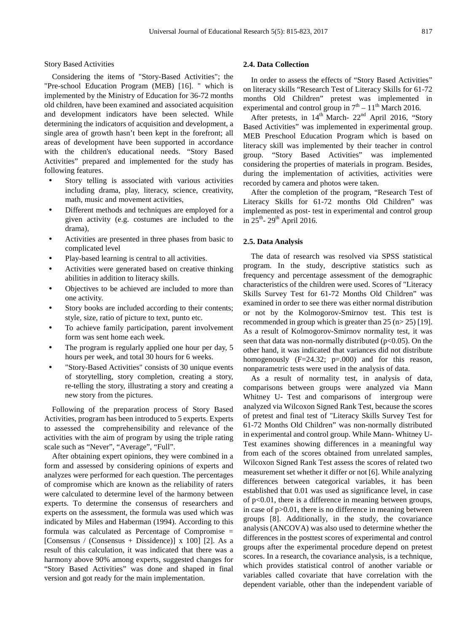Story Based Activities

Considering the items of "Story-Based Activities"; the "Pre-school Education Program (MEB) [16]. " which is implemented by the Ministry of Education for 36-72 months old children, have been examined and associated acquisition and development indicators have been selected. While determining the indicators of acquisition and development, a single area of growth hasn't been kept in the forefront; all areas of development have been supported in accordance with the children's educational needs. "Story Based Activities" prepared and implemented for the study has following features.

- Story telling is associated with various activities including drama, play, literacy, science, creativity, math, music and movement activities,
- Different methods and techniques are employed for a given activity (e.g. costumes are included to the drama),
- Activities are presented in three phases from basic to complicated level
- Play-based learning is central to all activities.
- Activities were generated based on creative thinking abilities in addition to literacy skills.
- Objectives to be achieved are included to more than one activity.
- Story books are included according to their contents; style, size, ratio of picture to text, punto etc.
- To achieve family participation, parent involvement form was sent home each week.
- The program is regularly applied one hour per day, 5 hours per week, and total 30 hours for 6 weeks.
- "Story-Based Activities" consists of 30 unique events of storytelling, story completion, creating a story, re-telling the story, illustrating a story and creating a new story from the pictures.

Following of the preparation process of Story Based Activities, program has been introduced to 5 experts. Experts to assessed the comprehensibility and relevance of the activities with the aim of program by using the triple rating scale such as "Never", "Average", "Full".

After obtaining expert opinions, they were combined in a form and assessed by considering opinions of experts and analyzes were performed for each question. The percentages of compromise which are known as the reliability of raters were calculated to determine level of the harmony between experts. To determine the consensus of researchers and experts on the assessment, the formula was used which was indicated by Miles and Haberman (1994). According to this formula was calculated as Percentage of Compromise = [Consensus / (Consensus + Dissidence)] x 100] [2]. As a result of this calculation, it was indicated that there was a harmony above 90% among experts, suggested changes for "Story Based Activities" was done and shaped in final version and got ready for the main implementation.

#### **2.4. Data Collection**

In order to assess the effects of "Story Based Activities" on literacy skills "Research Test of Literacy Skills for 61-72 months Old Children" pretest was implemented in experimental and control group in  $7<sup>th</sup> - 11<sup>th</sup>$  March 2016.

After pretests, in 14<sup>th</sup> March- 22<sup>nd</sup> April 2016, "Story Based Activities" was implemented in experimental group. MEB Preschool Education Program which is based on literacy skill was implemented by their teacher in control group. "Story Based Activities" was implemented considering the properties of materials in program. Besides, during the implementation of activities, activities were recorded by camera and photos were taken.

After the completion of the program, "Research Test of Literacy Skills for 61-72 months Old Children" was implemented as post- test in experimental and control group in  $25^{th}$ -  $29^{th}$  April 2016.

#### **2.5. Data Analysis**

The data of research was resolved via SPSS statistical program. In the study, descriptive statistics such as frequency and percentage assessment of the demographic characteristics of the children were used. Scores of "Literacy Skills Survey Test for 61-72 Months Old Children" was examined in order to see there was either normal distribution or not by the Kolmogorov-Smirnov test. This test is recommended in group which is greater than 25 (n> 25) [19]. As a result of Kolmogorov-Smirnov normality test, it was seen that data was non-normally distributed ( $p<0.05$ ). On the other hand, it was indicated that variances did not distribute homogenously (F=24.32; p=.000) and for this reason, nonparametric tests were used in the analysis of data.

As a result of normality test, in analysis of data, comparisons between groups were analyzed via Mann Whitney U- Test and comparisons of intergroup were analyzed via Wilcoxon Signed Rank Test, because the scores of pretest and final test of "Literacy Skills Survey Test for 61-72 Months Old Children" was non-normally distributed in experimental and control group. While Mann- Whitney U-Test examines showing differences in a meaningful way from each of the scores obtained from unrelated samples, Wilcoxon Signed Rank Test assess the scores of related two measurement set whether it differ or not [6]. While analyzing differences between categorical variables, it has been established that 0.01 was used as significance level, in case of p<0.01, there is a difference in meaning between groups, in case of p>0.01, there is no difference in meaning between groups [8]. Additionally, in the study, the covariance analysis (ANCOVA) was also used to determine whether the differences in the posttest scores of experimental and control groups after the experimental procedure depend on pretest scores. In a research, the covariance analysis, is a technique, which provides statistical control of another variable or variables called covariate that have correlation with the dependent variable, other than the independent variable of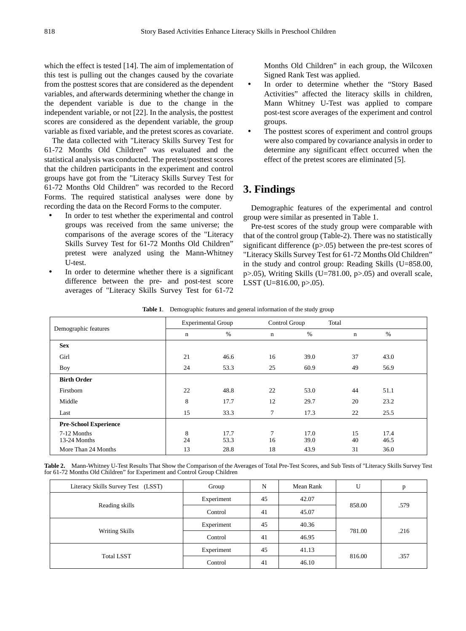which the effect is tested [14]. The aim of implementation of this test is pulling out the changes caused by the covariate from the posttest scores that are considered as the dependent variables, and afterwards determining whether the change in the dependent variable is due to the change in the independent variable, or not [22]. In the analysis, the posttest scores are considered as the dependent variable, the group variable as fixed variable, and the pretest scores as covariate.

The data collected with "Literacy Skills Survey Test for 61-72 Months Old Children" was evaluated and the statistical analysis was conducted. The pretest/posttest scores that the children participants in the experiment and control groups have got from the "Literacy Skills Survey Test for 61-72 Months Old Children" was recorded to the Record Forms. The required statistical analyses were done by recording the data on the Record Forms to the computer.

- In order to test whether the experimental and control groups was received from the same universe; the comparisons of the average scores of the "Literacy Skills Survey Test for 61-72 Months Old Children" pretest were analyzed using the Mann-Whitney U-test.
- In order to determine whether there is a significant difference between the pre- and post-test score averages of "Literacy Skills Survey Test for 61-72

Months Old Children" in each group, the Wilcoxen Signed Rank Test was applied.

- In order to determine whether the "Story Based Activities" affected the literacy skills in children, Mann Whitney U-Test was applied to compare post-test score averages of the experiment and control groups.
- The posttest scores of experiment and control groups were also compared by covariance analysis in order to determine any significant effect occurred when the effect of the pretest scores are eliminated [5].

# **3. Findings**

Demographic features of the experimental and control group were similar as presented in Table 1.

Pre-test scores of the study group were comparable with that of the control group (Table-2). There was no statistically significant difference (p>.05) between the pre-test scores of "Literacy Skills Survey Test for 61-72 Months Old Children" in the study and control group: Reading Skills (U=858.00, p>.05), Writing Skills (U=781.00, p>.05) and overall scale, LSST (U=816.00, p>.05).

| Demographic features         | <b>Experimental Group</b> |              | Control Group |              | Total       |              |  |
|------------------------------|---------------------------|--------------|---------------|--------------|-------------|--------------|--|
|                              | n                         | $\%$         | $\mathbf n$   | $\%$         | $\mathbf n$ | $\%$         |  |
| <b>Sex</b>                   |                           |              |               |              |             |              |  |
| Girl                         | 21                        | 46.6         | 16            | 39.0         | 37          | 43.0         |  |
| Boy                          | 24                        | 53.3         | 25            | 60.9         | 49          | 56.9         |  |
| <b>Birth Order</b>           |                           |              |               |              |             |              |  |
| Firstborn                    | 22                        | 48.8         | 22            | 53.0         | 44          | 51.1         |  |
| Middle                       | 8                         | 17.7         | 12            | 29.7         | 20          | 23.2         |  |
| Last                         | 15                        | 33.3         | $\tau$        | 17.3         | 22          | 25.5         |  |
| <b>Pre-School Experience</b> |                           |              |               |              |             |              |  |
| 7-12 Months<br>13-24 Months  | 8<br>24                   | 17.7<br>53.3 | $\tau$<br>16  | 17.0<br>39.0 | 15<br>40    | 17.4<br>46.5 |  |
| More Than 24 Months          | 13                        | 28.8         | 18            | 43.9         | 31          | 36.0         |  |

**Table 1**. Demographic features and general information of the study group

**Table 2.** Mann-Whitney U-Test Results That Show the Comparison of the Averages of Total Pre-Test Scores, and Sub Tests of "Literacy Skills Survey Test for 61-72 Months Old Children" for Experiment and Control Group Children

| Literacy Skills Survey Test (LSST) | Group      | N  | Mean Rank | U      | p    |
|------------------------------------|------------|----|-----------|--------|------|
| Reading skills                     | Experiment | 45 | 42.07     | 858.00 | .579 |
|                                    | Control    | 41 | 45.07     |        |      |
| Writing Skills                     | Experiment | 45 | 40.36     |        | .216 |
|                                    | Control    | 41 | 46.95     | 781.00 |      |
| <b>Total LSST</b>                  | Experiment | 45 | 41.13     |        | .357 |
|                                    | Control    | 41 | 46.10     | 816.00 |      |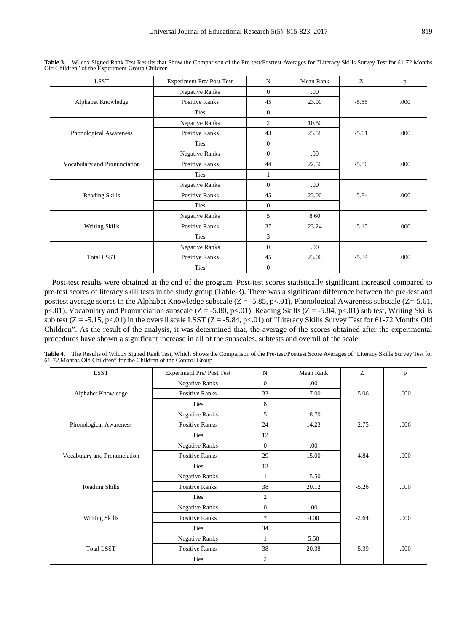| <b>LSST</b>                  | Experiment Pre/ Post Test                                     | $\mathbf N$    | Mean Rank | Z       | p    |
|------------------------------|---------------------------------------------------------------|----------------|-----------|---------|------|
| Alphabet Knowledge           | <b>Negative Ranks</b>                                         | $\mathbf{0}$   | .00.      |         |      |
|                              | <b>Positive Ranks</b>                                         | 45             | 23.00     | $-5.85$ | .000 |
|                              | Ties                                                          | $\overline{0}$ |           |         |      |
|                              | <b>Negative Ranks</b>                                         | 2              | 10.50     | $-5.61$ | .000 |
| Phonological Awareness       | <b>Positive Ranks</b>                                         | 43             | 23.58     |         |      |
|                              | Ties                                                          | $\overline{0}$ |           |         |      |
| Vocabulary and Pronunciation | <b>Negative Ranks</b>                                         | $\Omega$       | .00.      |         | .000 |
|                              | <b>Positive Ranks</b>                                         | 44             | 22.50     | $-5.80$ |      |
|                              | Ties                                                          | 1              |           |         |      |
|                              | <b>Negative Ranks</b>                                         |                | .00.      |         |      |
| Reading Skills               | <b>Positive Ranks</b>                                         | 45             | 23.00     | $-5.84$ | .000 |
|                              | Ties                                                          | $\mathbf{0}$   |           |         |      |
| <b>Writing Skills</b>        | <b>Negative Ranks</b>                                         | 5              | 8.60      | $-5.15$ | .000 |
|                              | <b>Positive Ranks</b>                                         | 37             | 23.24     |         |      |
|                              | Ties                                                          | 3              |           |         |      |
| <b>Total LSST</b>            | <b>Negative Ranks</b><br><b>Positive Ranks</b><br><b>Ties</b> |                | .00.      |         |      |
|                              |                                                               |                | 23.00     | $-5.84$ | .000 |
|                              |                                                               |                |           |         |      |

**Table 3.** Wilcox Signed Rank Test Results that Show the Comparison of the Pre-test/Posttest Averages for "Literacy Skills Survey Test for 61-72 Months Old Children" of the Experiment Group Children

Post-test results were obtained at the end of the program. Post-test scores statistically significant increased compared to pre-test scores of literacy skill tests in the study group (Table-3). There was a significant difference between the pre-test and posttest average scores in the Alphabet Knowledge subscale  $(Z = -5.85, p < 0.01)$ , Phonological Awareness subscale  $(Z = -5.61,$ p<.01), Vocabulary and Pronunciation subscale (Z = -5.80, p<.01), Reading Skills (Z = -5.84, p<.01) sub test, Writing Skills sub test  $(Z = -5.15, p < 01)$  in the overall scale LSST  $(Z = -5.84, p < 01)$  of "Literacy Skills Survey Test for 61-72 Months Old Children". As the result of the analysis, it was determined that, the average of the scores obtained after the experimental procedures have shown a significant increase in all of the subscales, subtests and overall of the scale.

**Table 4.** The Results of Wilcox Signed Rank Test, Which Shows the Comparison of the Pre-test/Posttest Score Averages of "Literacy Skills Survey Test for 61-72 Months Old Children" for the Children of the Control Group

| <b>LSST</b>                  | <b>Experiment Pre/ Post Test</b>               | N              | Mean Rank | Z       | p    |
|------------------------------|------------------------------------------------|----------------|-----------|---------|------|
| Alphabet Knowledge           | <b>Negative Ranks</b>                          | $\overline{0}$ | .00.      |         |      |
|                              | <b>Positive Ranks</b>                          | 33             | 17.00     | $-5.06$ | .000 |
|                              | <b>Ties</b>                                    | 8              |           |         |      |
|                              | <b>Negative Ranks</b>                          |                | 18.70     |         |      |
| Phonological Awareness       | <b>Positive Ranks</b>                          | 24             | 14.23     | $-2.75$ | .006 |
|                              | <b>Ties</b>                                    | 12             |           |         |      |
|                              | <b>Negative Ranks</b>                          | $\overline{0}$ | .00.      |         |      |
| Vocabulary and Pronunciation | <b>Positive Ranks</b>                          |                | 15.00     | $-4.84$ | .000 |
|                              | <b>Ties</b>                                    | 12             |           |         |      |
|                              | <b>Negative Ranks</b><br><b>Positive Ranks</b> |                | 15.50     | $-5.26$ | .000 |
| Reading Skills               |                                                |                | 20.12     |         |      |
|                              | <b>Ties</b>                                    | $\overline{c}$ |           |         |      |
|                              | <b>Negative Ranks</b>                          | $\overline{0}$ | .00.      |         |      |
| Writing Skills               | <b>Positive Ranks</b>                          | $\tau$         | 4.00      | $-2.64$ | .000 |
|                              | <b>Ties</b>                                    | 34             |           |         |      |
| <b>Total LSST</b>            | <b>Negative Ranks</b><br><b>Positive Ranks</b> |                | 5.50      |         |      |
|                              |                                                |                | 20.38     | $-5.39$ | .000 |
|                              | Ties                                           | 2              |           |         |      |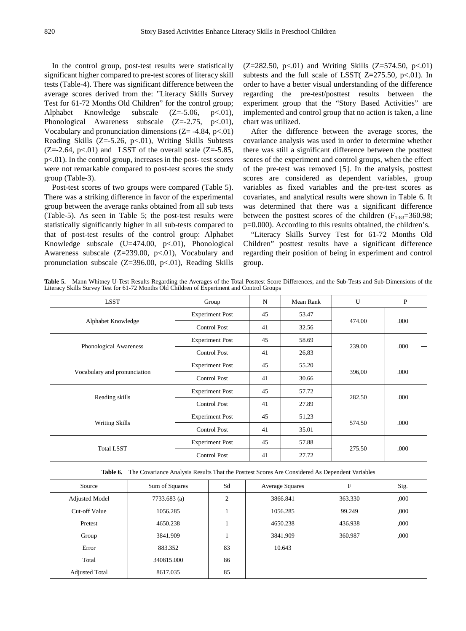In the control group, post-test results were statistically significant higher compared to pre-test scores of literacy skill tests (Table-4). There was significant difference between the average scores derived from the: "Literacy Skills Survey Test for 61-72 Months Old Children" for the control group; Alphabet Knowledge subscale  $(Z=5.06, p<.01)$ , Phonological Awareness subscale  $(Z=2.75, p<.01)$ , Vocabulary and pronunciation dimensions  $(Z = -4.84, p < 01)$ Reading Skills (Z=-5.26, p<.01), Writing Skills Subtests  $(Z=2.64, p<.01)$  and LSST of the overall scale  $(Z=5.85,$ p<.01). In the control group, increases in the post- test scores were not remarkable compared to post-test scores the study group (Table-3).

Post-test scores of two groups were compared (Table 5). There was a striking difference in favor of the experimental group between the average ranks obtained from all sub tests (Table-5). As seen in Table 5; the post-test results were statistically significantly higher in all sub-tests compared to that of post-test results of the control group: Alphabet Knowledge subscale  $(U=474.00, p<0.01)$ , Phonological Awareness subscale  $(Z=239.00, p<0.01)$ , Vocabulary and pronunciation subscale  $(Z=396.00, p<0.01)$ , Reading Skills

 $(Z=282.50, p<.01)$  and Writing Skills  $(Z=574.50, p<.01)$ subtests and the full scale of LSST( $Z=275.50$ ,  $p<01$ ). In order to have a better visual understanding of the difference regarding the pre-test/posttest results between the experiment group that the "Story Based Activities" are implemented and control group that no action is taken, a line chart was utilized.

After the difference between the average scores, the covariance analysis was used in order to determine whether there was still a significant difference between the posttest scores of the experiment and control groups, when the effect of the pre-test was removed [5]. In the analysis, posttest scores are considered as dependent variables, group variables as fixed variables and the pre-test scores as covariates, and analytical results were shown in Table 6. It was determined that there was a significant difference between the posttest scores of the children  $(F<sub>1-83</sub>=360.98;$ p=0.000). According to this results obtained, the children's.

"Literacy Skills Survey Test for 61-72 Months Old Children" posttest results have a significant difference regarding their position of being in experiment and control group.

**Table 5.** Mann Whitney U-Test Results Regarding the Averages of the Total Posttest Score Differences, and the Sub-Tests and Sub-Dimensions of the Literacy Skills Survey Test for 61-72 Months Old Children of Experiment and Control Groups

| <b>LSST</b>                  | Group                  | N  | Mean Rank       | U      | P    |
|------------------------------|------------------------|----|-----------------|--------|------|
|                              | <b>Experiment Post</b> | 45 | 53.47           |        | .000 |
| Alphabet Knowledge           | <b>Control Post</b>    | 41 | 32.56           | 474.00 |      |
|                              | <b>Experiment Post</b> | 45 | 58.69           |        | .000 |
| Phonological Awareness       | <b>Control Post</b>    | 41 | 26,83           | 239.00 |      |
| Vocabulary and pronunciation | <b>Experiment Post</b> | 45 | 55.20           |        |      |
|                              | <b>Control Post</b>    | 41 | 396,00<br>30.66 |        | .000 |
| Reading skills               | <b>Experiment Post</b> | 45 | 57.72           |        | .000 |
|                              | <b>Control Post</b>    | 41 | 27.89           | 282.50 |      |
| Writing Skills               | <b>Experiment Post</b> | 45 | 51,23           | 574.50 |      |
|                              | <b>Control Post</b>    | 41 | 35.01           |        | .000 |
| <b>Total LSST</b>            | <b>Experiment Post</b> | 45 | 57.88           |        |      |
|                              | <b>Control Post</b>    | 41 | 27.72           | 275.50 | .000 |

**Table 6.** The Covariance Analysis Results That the Posttest Scores Are Considered As Dependent Variables

| Source                | Sum of Squares | Sd             | <b>Average Squares</b> | F       | Sig. |
|-----------------------|----------------|----------------|------------------------|---------|------|
| <b>Adjusted Model</b> | 7733.683 (a)   | $\overline{2}$ | 3866.841               | 363.330 | ,000 |
| Cut-off Value         | 1056.285       |                | 1056.285               | 99.249  | ,000 |
| Pretest               | 4650.238       |                | 4650.238               | 436.938 | ,000 |
| Group                 | 3841.909       |                | 3841.909               | 360.987 | ,000 |
| Error                 | 883.352        | 83             | 10.643                 |         |      |
| Total                 | 340815.000     | 86             |                        |         |      |
| <b>Adjusted Total</b> | 8617.035       | 85             |                        |         |      |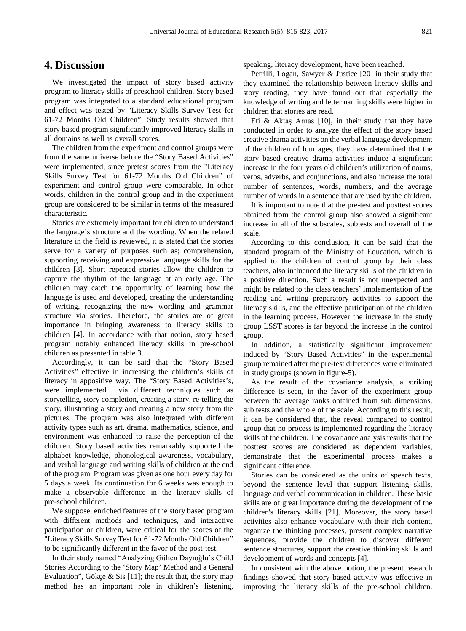### **4. Discussion**

We investigated the impact of story based activity program to literacy skills of preschool children. Story based program was integrated to a standard educational program and effect was tested by "Literacy Skills Survey Test for 61-72 Months Old Children". Study results showed that story based program significantly improved literacy skills in all domains as well as overall scores.

The children from the experiment and control groups were from the same universe before the "Story Based Activities" were implemented, since pretest scores from the "Literacy Skills Survey Test for 61-72 Months Old Children" of experiment and control group were comparable, In other words, children in the control group and in the experiment group are considered to be similar in terms of the measured characteristic.

Stories are extremely important for children to understand the language's structure and the wording. When the related literature in the field is reviewed, it is stated that the stories serve for a variety of purposes such as; comprehension, supporting receiving and expressive language skills for the children [3]. Short repeated stories allow the children to capture the rhythm of the language at an early age. The children may catch the opportunity of learning how the language is used and developed, creating the understanding of writing, recognizing the new wording and grammar structure via stories. Therefore, the stories are of great importance in bringing awareness to literacy skills to children [4]. In accordance with that notion, story based program notably enhanced literacy skills in pre-school children as presented in table 3.

Accordingly, it can be said that the "Story Based Activities" effective in increasing the children's skills of literacy in appositive way. The "Story Based Activities's, were implemented via different techniques such as storytelling, story completion, creating a story, re-telling the story, illustrating a story and creating a new story from the pictures. The program was also integrated with different activity types such as art, drama, mathematics, science, and environment was enhanced to raise the perception of the children. Story based activities remarkably supported the alphabet knowledge, phonological awareness, vocabulary, and verbal language and writing skills of children at the end of the program. Program was given as one hour every day for 5 days a week. Its continuation for 6 weeks was enough to make a observable difference in the literacy skills of pre-school children.

We suppose, enriched features of the story based program with different methods and techniques, and interactive participation or children, were critical for the scores of the "Literacy Skills Survey Test for 61-72 Months Old Children" to be significantly different in the favor of the post-test.

In their study named "Analyzing Gülten Dayıoğlu's Child Stories According to the 'Story Map' Method and a General Evaluation", Gökçe & Sis [11]; the result that, the story map method has an important role in children's listening,

speaking, literacy development, have been reached.

Petrilli, Logan, Sawyer & Justice [20] in their study that they examined the relationship between literacy skills and story reading, they have found out that especially the knowledge of writing and letter naming skills were higher in children that stories are read.

Eti & Aktaş Arnas [10], in their study that they have conducted in order to analyze the effect of the story based creative drama activities on the verbal language development of the children of four ages, they have determined that the story based creative drama activities induce a significant increase in the four years old children's utilization of nouns, verbs, adverbs, and conjunctions, and also increase the total number of sentences, words, numbers, and the average number of words in a sentence that are used by the children.

It is important to note that the pre-test and posttest scores obtained from the control group also showed a significant increase in all of the subscales, subtests and overall of the scale.

According to this conclusion, it can be said that the standard program of the Ministry of Education, which is applied to the children of control group by their class teachers, also influenced the literacy skills of the children in a positive direction. Such a result is not unexpected and might be related to the class teachers' implementation of the reading and writing preparatory activities to support the literacy skills, and the effective participation of the children in the learning process. However the increase in the study group LSST scores is far beyond the increase in the control group.

In addition, a statistically significant improvement induced by "Story Based Activities" in the experimental group remained after the pre-test differences were eliminated in study groups (shown in figure-5).

As the result of the covariance analysis, a striking difference is seen, in the favor of the experiment group between the average ranks obtained from sub dimensions, sub tests and the whole of the scale. According to this result, it can be considered that, the reveal compared to control group that no process is implemented regarding the literacy skills of the children. The covariance analysis results that the posttest scores are considered as dependent variables, demonstrate that the experimental process makes a significant difference.

Stories can be considered as the units of speech texts, beyond the sentence level that support listening skills, language and verbal communication in children. These basic skills are of great importance during the development of the children's literacy skills [21]. Moreover, the story based activities also enhance vocabulary with their rich content, organize the thinking processes, present complex narrative sequences, provide the children to discover different sentence structures, support the creative thinking skills and development of words and concepts [4].

In consistent with the above notion, the present research findings showed that story based activity was effective in improving the literacy skills of the pre-school children.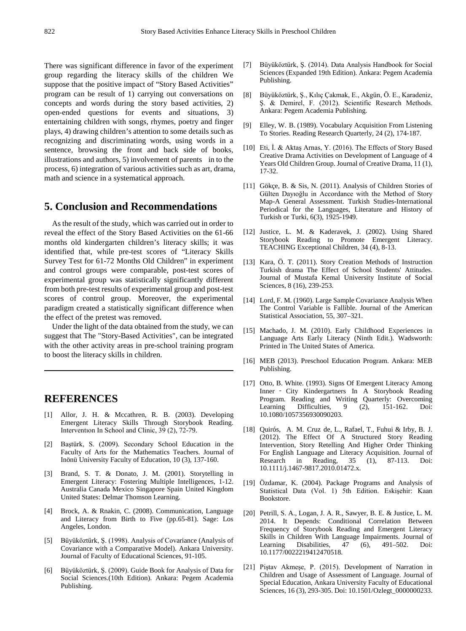There was significant difference in favor of the experiment group regarding the literacy skills of the children We suppose that the positive impact of "Story Based Activities" program can be result of 1) carrying out conversations on concepts and words during the story based activities, 2) open-ended questions for events and situations, 3) entertaining children with songs, rhymes, poetry and finger plays, 4) drawing children's attention to some details such as recognizing and discriminating words, using words in a sentence, browsing the front and back side of books, illustrations and authors, 5) involvement of parents in to the process, 6) integration of various activities such as art, drama, math and science in a systematical approach.

# **5. Conclusion and Recommendations**

As the result of the study, which was carried out in order to reveal the effect of the Story Based Activities on the 61-66 months old kindergarten children's literacy skills; it was identified that, while pre-test scores of "Literacy Skills Survey Test for 61-72 Months Old Children" in experiment and control groups were comparable, post-test scores of experimental group was statistically significantly different from both pre-test results of experimental group and post-test scores of control group. Moreover, the experimental paradigm created a statistically significant difference when the effect of the pretest was removed.

Under the light of the data obtained from the study, we can suggest that The "Story-Based Activities", can be integrated with the other activity areas in pre-school training program to boost the literacy skills in children.

# **REFERENCES**

- [1] Allor, J. H. & Mccathren, R. B. (2003). Developing Emergent Literacy Skills Through Storybook Reading. Interventıon In School and Clinic, 39 (2), 72-79.
- [2] Baştürk, S. (2009). Secondary School Education in the Faculty of Arts for the Mathematics Teachers. Journal of Inönü University Faculty of Education, 10 (3), 137-160.
- [3] Brand, S. T. & Donato, J. M. (2001). Storytelling in Emergent Literacy: Fostering Multiple Intelligences, 1-12. Australia Canada Mexico Singapore Spain United Kingdom United States: Delmar Thomson Learning.
- [4] Brock, A. & Rnakin, C. (2008). Communication, Language and Literacy from Birth to Five (pp.65-81). Sage: Los Angeles, London.
- [5] Büyüköztürk, Ş. (1998). Analysis of Covariance (Analysis of Covariance with a Comparative Model). Ankara University. Journal of Faculty of Educational Sciences, 91-105.
- [6] Büyüköztürk, Ş. (2009). Guide Book for Analysis of Data for Social Sciences.(10th Edition). Ankara: Pegem Academia Publishing.
- [7] Büyüköztürk, Ş. (2014). Data Analysis Handbook for Social Sciences (Expanded 19th Edition). Ankara: Pegem Academia Publishing.
- [8] Büyüköztürk, Ş., Kılıç Çakmak, E., Akgün, Ö. E., Karadeniz, Ş. & Demirel, F. (2012). Scientific Research Methods. Ankara: Pegem Academia Publishing.
- [9] Elley, W. B. (1989). Vocabulary Acquisition From Listening To Stories. Reading Research Quarterly, 24 (2), 174-187.
- [10] Eti, İ. & Aktaş Arnas, Y. (2016). The Effects of Story Based Creative Drama Activities on Development of Language of 4 Years Old Children Group. Journal of Creative Drama, 11 (1), 17-32.
- [11] Gökçe, B. & Sis, N. (2011). Analysis of Children Stories of Gülten Dayıoğlu in Accordance with the Method of Story Map-A General Assessment. Turkish Studies-International Periodical for the Languages, Literature and History of Turkish or Turki, 6(3), 1925-1949.
- [12] Justice, L. M. & Kaderavek, J. (2002). Using Shared Storybook Reading to Promote Emergent Literacy. TEACHING Exceptional Children, 34 (4), 8-13.
- [13] Kara, Ö. T. (2011). Story Creation Methods of Instruction Turkish drama The Effect of School Students' Attitudes. Journal of Mustafa Kemal University Institute of Social Sciences, 8 (16), 239-253.
- [14] Lord, F. M. (1960). Large Sample Covariance Analysis When The Control Variable is Fallible. Journal of the American Statistical Association, 55, 307–321.
- [15] Machado, J. M. (2010). Early Childhood Experiences in Language Arts Early Literacy (Ninth Edit.). Wadsworth: Printed in The United States of America.
- [16] MEB (2013). Preschool Education Program. Ankara: MEB Publishing.
- [17] Otto, B. White. (1993). Signs Of Emergent Literacy Among Inner ‐ City Kindergartners In A Storybook Reading Program. Reading and Writing Quarterly: Overcoming Learning Difficulties, 9 (2), 151-162. Doi: 10.1080/1057356930090203.
- [18] Quirós, A. M. Cruz de, L., Rafael, T., Fuhui & Irby, B. J. (2012). The Effect Of A Structured Story Reading Intervention, Story Retelling And Higher Order Thinking For English Language and Literacy Acquisition. Journal of Research in Reading, 35 (1), 87-113. Doi: 10.1111/j.1467-9817.2010.01472.x.
- [19] Özdamar, K. (2004). Package Programs and Analysis of Statistical Data (Vol. 1) 5th Edition. Eskişehir: Kaan Bookstore.
- [20] Petrill, S. A., Logan, J. A. R., Sawyer, B. E. & Justice, L. M. 2014. It Depends: Conditional Correlation Between Frequency of Storybook Reading and Emergent Literacy Skills in Children With Language Impairments. Journal of Learning Disabilities, 47 (6), 491-502. Doi: 10.1177/0022219412470518.
- [21] Piştav Akmeşe, P. (2015). Development of Narration in Children and Usage of Assessment of Language. Journal of Special Education, Ankara University Faculty of Educational Sciences, 16 (3), 293-305. Doi: 10.1501/Ozlegt\_0000000233.